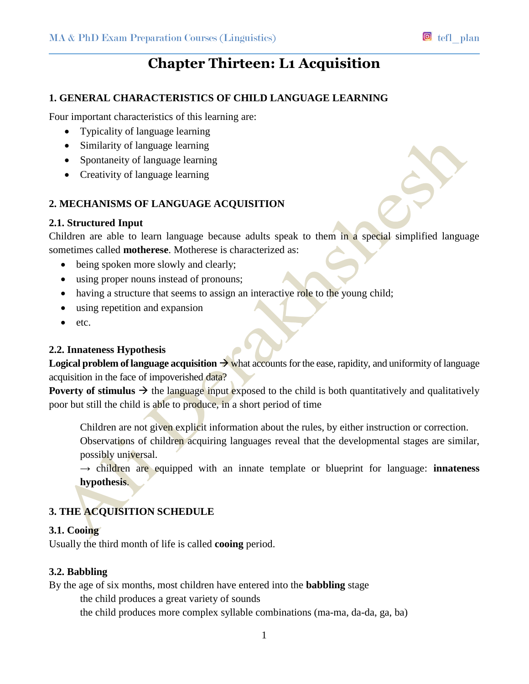# **Chapter Thirteen: L1 Acquisition**

## **1. GENERAL CHARACTERISTICS OF CHILD LANGUAGE LEARNING**

Four important characteristics of this learning are:

- Typicality of language learning
- Similarity of language learning
- Spontaneity of language learning
- Creativity of language learning

# **2. MECHANISMS OF LANGUAGE ACQUISITION**

#### **2.1. Structured Input**

Children are able to learn language because adults speak to them in a special simplified language sometimes called **motherese**. Motherese is characterized as:

- being spoken more slowly and clearly;
- using proper nouns instead of pronouns;
- having a structure that seems to assign an interactive role to the young child;
- using repetition and expansion
- $etc.$

#### **2.2. Innateness Hypothesis**

**Logical problem of language acquisition**  $\rightarrow$  what accounts for the ease, rapidity, and uniformity of language acquisition in the face of impoverished data?

**Poverty of stimulus**  $\rightarrow$  the language input exposed to the child is both quantitatively and qualitatively poor but still the child is able to produce, in a short period of time

Children are not given explicit information about the rules, by either instruction or correction. Observations of children acquiring languages reveal that the developmental stages are similar, possibly universal.

 $\rightarrow$  children are equipped with an innate template or blueprint for language: **innateness hypothesis**.

# **3. THE ACQUISITION SCHEDULE**

#### **3.1. Cooing**

Usually the third month of life is called **cooing** period.

#### **3.2. Babbling**

By the age of six months, most children have entered into the **babbling** stage

the child produces a great variety of sounds

the child produces more complex syllable combinations (ma-ma, da-da, ga, ba)